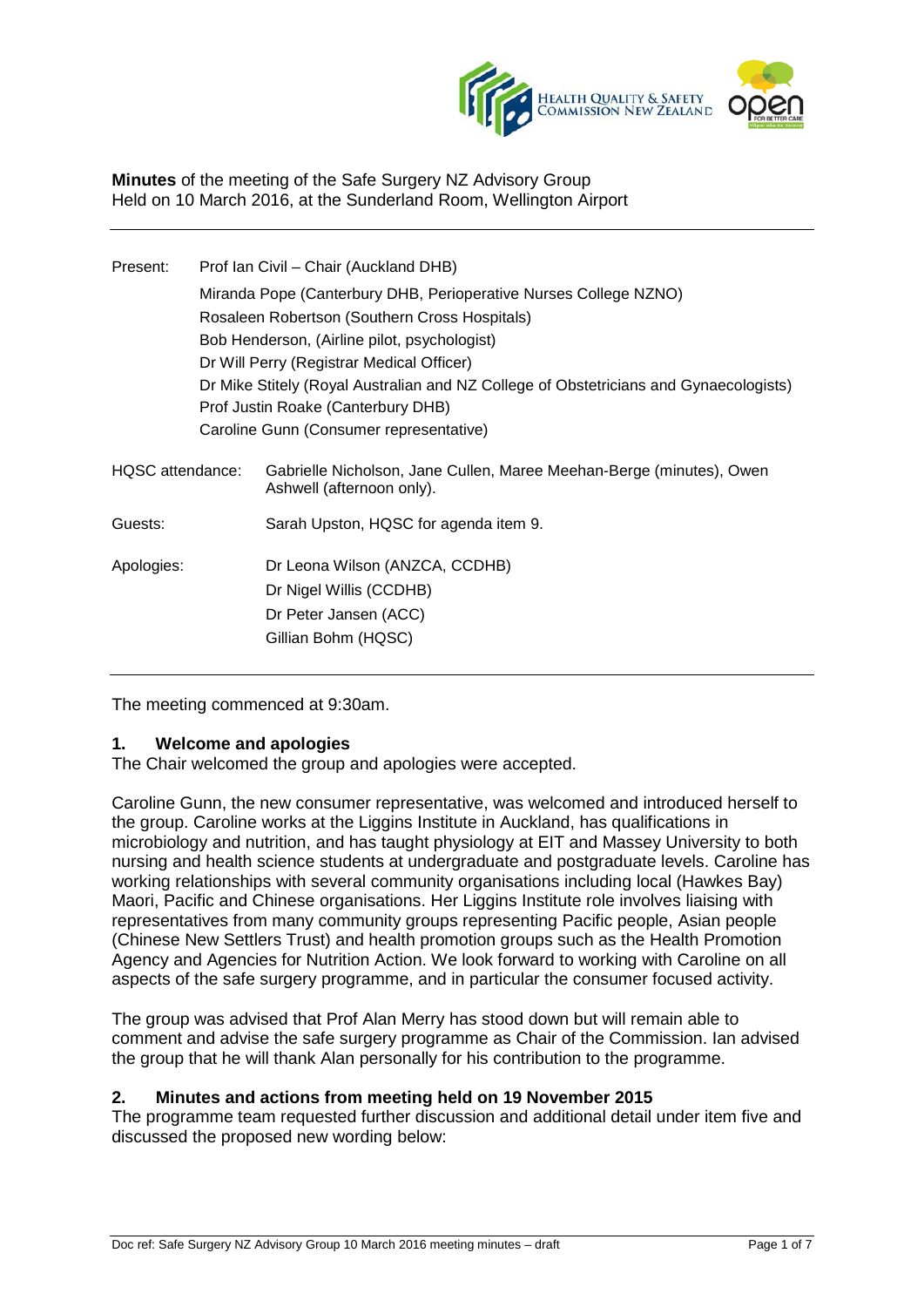

**Minutes** of the meeting of the Safe Surgery NZ Advisory Group Held on 10 March 2016, at the Sunderland Room, Wellington Airport

| Present:         | Prof Ian Civil - Chair (Auckland DHB)                                                 |                                                                                                   |
|------------------|---------------------------------------------------------------------------------------|---------------------------------------------------------------------------------------------------|
|                  | Miranda Pope (Canterbury DHB, Perioperative Nurses College NZNO)                      |                                                                                                   |
|                  | Rosaleen Robertson (Southern Cross Hospitals)                                         |                                                                                                   |
|                  | Bob Henderson, (Airline pilot, psychologist)                                          |                                                                                                   |
|                  | Dr Will Perry (Registrar Medical Officer)                                             |                                                                                                   |
|                  | Dr Mike Stitely (Royal Australian and NZ College of Obstetricians and Gynaecologists) |                                                                                                   |
|                  | Prof Justin Roake (Canterbury DHB)                                                    |                                                                                                   |
|                  | Caroline Gunn (Consumer representative)                                               |                                                                                                   |
| HQSC attendance: |                                                                                       | Gabrielle Nicholson, Jane Cullen, Maree Meehan-Berge (minutes), Owen<br>Ashwell (afternoon only). |
| Guests:          |                                                                                       | Sarah Upston, HQSC for agenda item 9.                                                             |
| Apologies:       |                                                                                       | Dr Leona Wilson (ANZCA, CCDHB)                                                                    |
|                  |                                                                                       | Dr Nigel Willis (CCDHB)                                                                           |
|                  |                                                                                       | Dr Peter Jansen (ACC)                                                                             |
|                  |                                                                                       | Gillian Bohm (HQSC)                                                                               |
|                  |                                                                                       |                                                                                                   |

The meeting commenced at 9:30am.

## **1. Welcome and apologies**

The Chair welcomed the group and apologies were accepted.

Caroline Gunn, the new consumer representative, was welcomed and introduced herself to the group. Caroline works at the Liggins Institute in Auckland, has qualifications in microbiology and nutrition, and has taught physiology at EIT and Massey University to both nursing and health science students at undergraduate and postgraduate levels. Caroline has working relationships with several community organisations including local (Hawkes Bay) Maori, Pacific and Chinese organisations. Her Liggins Institute role involves liaising with representatives from many community groups representing Pacific people, Asian people (Chinese New Settlers Trust) and health promotion groups such as the Health Promotion Agency and Agencies for Nutrition Action. We look forward to working with Caroline on all aspects of the safe surgery programme, and in particular the consumer focused activity.

The group was advised that Prof Alan Merry has stood down but will remain able to comment and advise the safe surgery programme as Chair of the Commission. Ian advised the group that he will thank Alan personally for his contribution to the programme.

## **2. Minutes and actions from meeting held on 19 November 2015**

The programme team requested further discussion and additional detail under item five and discussed the proposed new wording below: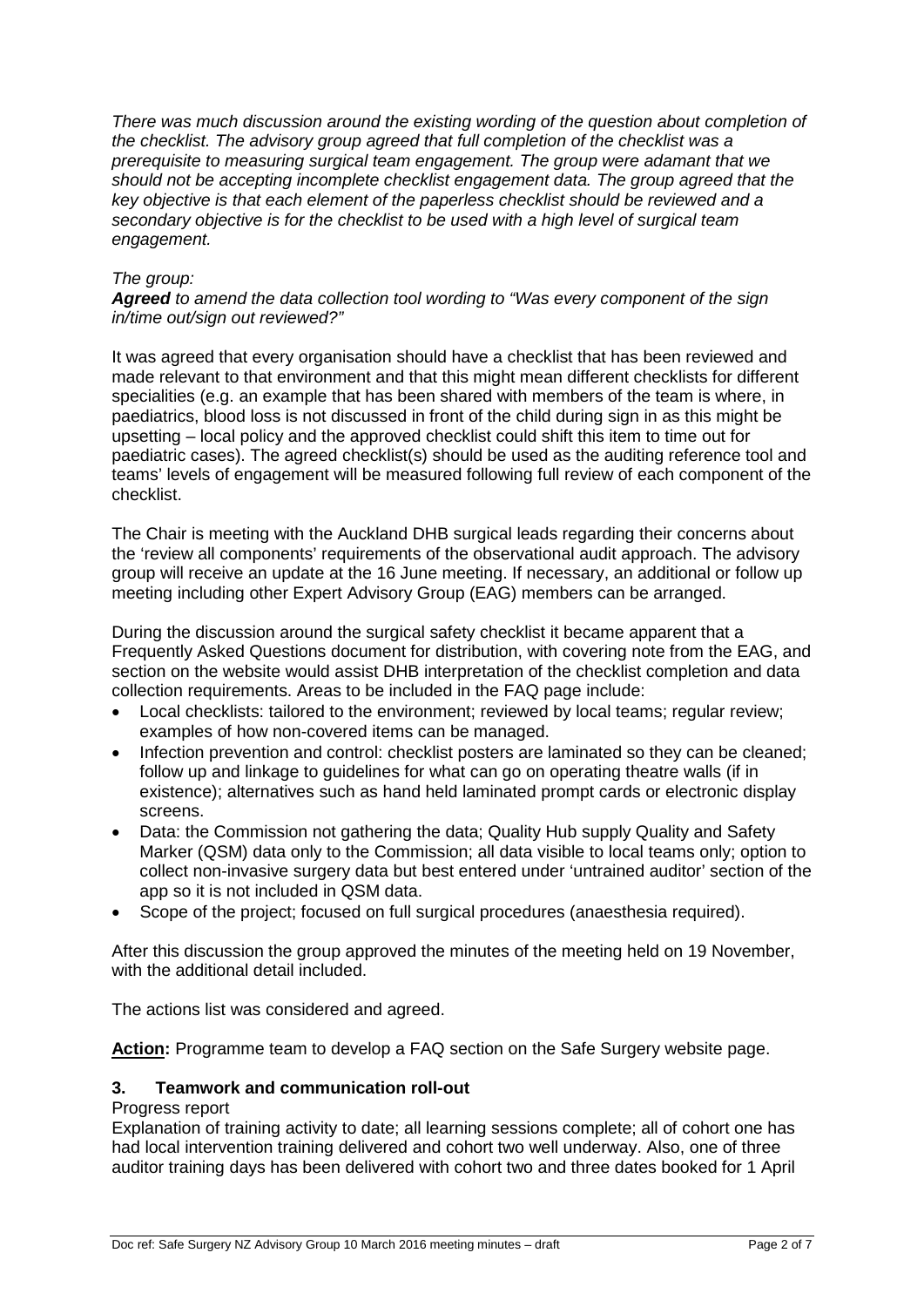*There was much discussion around the existing wording of the question about completion of the checklist. The advisory group agreed that full completion of the checklist was a prerequisite to measuring surgical team engagement. The group were adamant that we should not be accepting incomplete checklist engagement data. The group agreed that the key objective is that each element of the paperless checklist should be reviewed and a secondary objective is for the checklist to be used with a high level of surgical team engagement.*

## *The group:*

*Agreed to amend the data collection tool wording to "Was every component of the sign in/time out/sign out reviewed?"*

It was agreed that every organisation should have a checklist that has been reviewed and made relevant to that environment and that this might mean different checklists for different specialities (e.g. an example that has been shared with members of the team is where, in paediatrics, blood loss is not discussed in front of the child during sign in as this might be upsetting – local policy and the approved checklist could shift this item to time out for paediatric cases). The agreed checklist(s) should be used as the auditing reference tool and teams' levels of engagement will be measured following full review of each component of the checklist.

The Chair is meeting with the Auckland DHB surgical leads regarding their concerns about the 'review all components' requirements of the observational audit approach. The advisory group will receive an update at the 16 June meeting. If necessary, an additional or follow up meeting including other Expert Advisory Group (EAG) members can be arranged.

During the discussion around the surgical safety checklist it became apparent that a Frequently Asked Questions document for distribution, with covering note from the EAG, and section on the website would assist DHB interpretation of the checklist completion and data collection requirements. Areas to be included in the FAQ page include:

- Local checklists: tailored to the environment; reviewed by local teams; regular review; examples of how non-covered items can be managed.
- Infection prevention and control: checklist posters are laminated so they can be cleaned: follow up and linkage to guidelines for what can go on operating theatre walls (if in existence); alternatives such as hand held laminated prompt cards or electronic display screens.
- Data: the Commission not gathering the data; Quality Hub supply Quality and Safety Marker (QSM) data only to the Commission; all data visible to local teams only; option to collect non-invasive surgery data but best entered under 'untrained auditor' section of the app so it is not included in QSM data.
- Scope of the project; focused on full surgical procedures (anaesthesia required).

After this discussion the group approved the minutes of the meeting held on 19 November, with the additional detail included.

The actions list was considered and agreed.

**Action:** Programme team to develop a FAQ section on the Safe Surgery website page.

# **3. Teamwork and communication roll-out**

## Progress report

Explanation of training activity to date; all learning sessions complete; all of cohort one has had local intervention training delivered and cohort two well underway. Also, one of three auditor training days has been delivered with cohort two and three dates booked for 1 April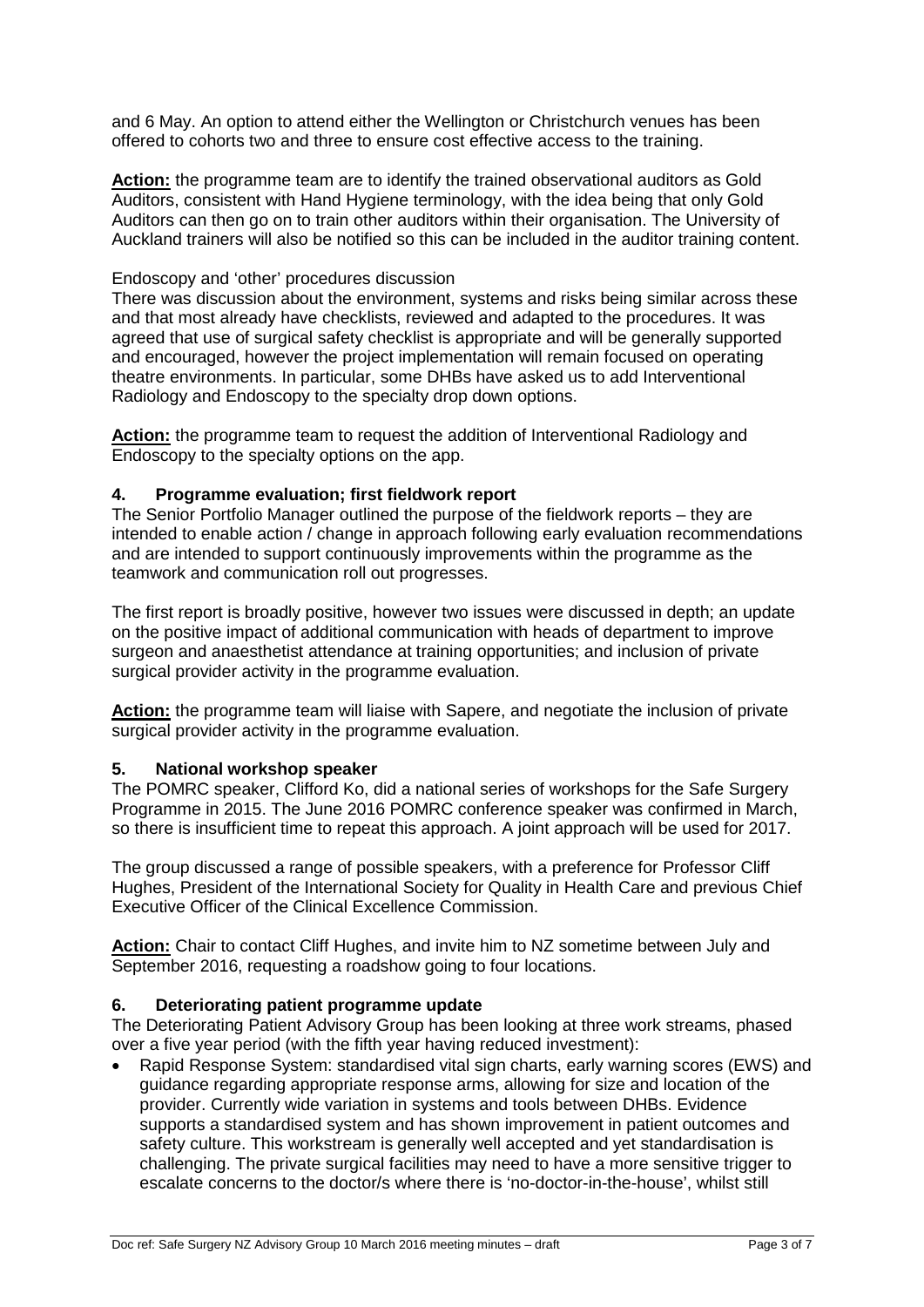and 6 May. An option to attend either the Wellington or Christchurch venues has been offered to cohorts two and three to ensure cost effective access to the training.

**Action:** the programme team are to identify the trained observational auditors as Gold Auditors, consistent with Hand Hygiene terminology, with the idea being that only Gold Auditors can then go on to train other auditors within their organisation. The University of Auckland trainers will also be notified so this can be included in the auditor training content.

## Endoscopy and 'other' procedures discussion

There was discussion about the environment, systems and risks being similar across these and that most already have checklists, reviewed and adapted to the procedures. It was agreed that use of surgical safety checklist is appropriate and will be generally supported and encouraged, however the project implementation will remain focused on operating theatre environments. In particular, some DHBs have asked us to add Interventional Radiology and Endoscopy to the specialty drop down options.

**Action:** the programme team to request the addition of Interventional Radiology and Endoscopy to the specialty options on the app.

## **4. Programme evaluation; first fieldwork report**

The Senior Portfolio Manager outlined the purpose of the fieldwork reports – they are intended to enable action / change in approach following early evaluation recommendations and are intended to support continuously improvements within the programme as the teamwork and communication roll out progresses.

The first report is broadly positive, however two issues were discussed in depth; an update on the positive impact of additional communication with heads of department to improve surgeon and anaesthetist attendance at training opportunities; and inclusion of private surgical provider activity in the programme evaluation.

**Action:** the programme team will liaise with Sapere, and negotiate the inclusion of private surgical provider activity in the programme evaluation.

# **5. National workshop speaker**

The POMRC speaker, Clifford Ko, did a national series of workshops for the Safe Surgery Programme in 2015. The June 2016 POMRC conference speaker was confirmed in March, so there is insufficient time to repeat this approach. A joint approach will be used for 2017.

The group discussed a range of possible speakers, with a preference for Professor Cliff Hughes, President of the International Society for Quality in Health Care and previous Chief Executive Officer of the Clinical Excellence Commission.

**Action:** Chair to contact Cliff Hughes, and invite him to NZ sometime between July and September 2016, requesting a roadshow going to four locations.

# **6. Deteriorating patient programme update**

The Deteriorating Patient Advisory Group has been looking at three work streams, phased over a five year period (with the fifth year having reduced investment):

• Rapid Response System: standardised vital sign charts, early warning scores (EWS) and guidance regarding appropriate response arms, allowing for size and location of the provider. Currently wide variation in systems and tools between DHBs. Evidence supports a standardised system and has shown improvement in patient outcomes and safety culture. This workstream is generally well accepted and yet standardisation is challenging. The private surgical facilities may need to have a more sensitive trigger to escalate concerns to the doctor/s where there is 'no-doctor-in-the-house', whilst still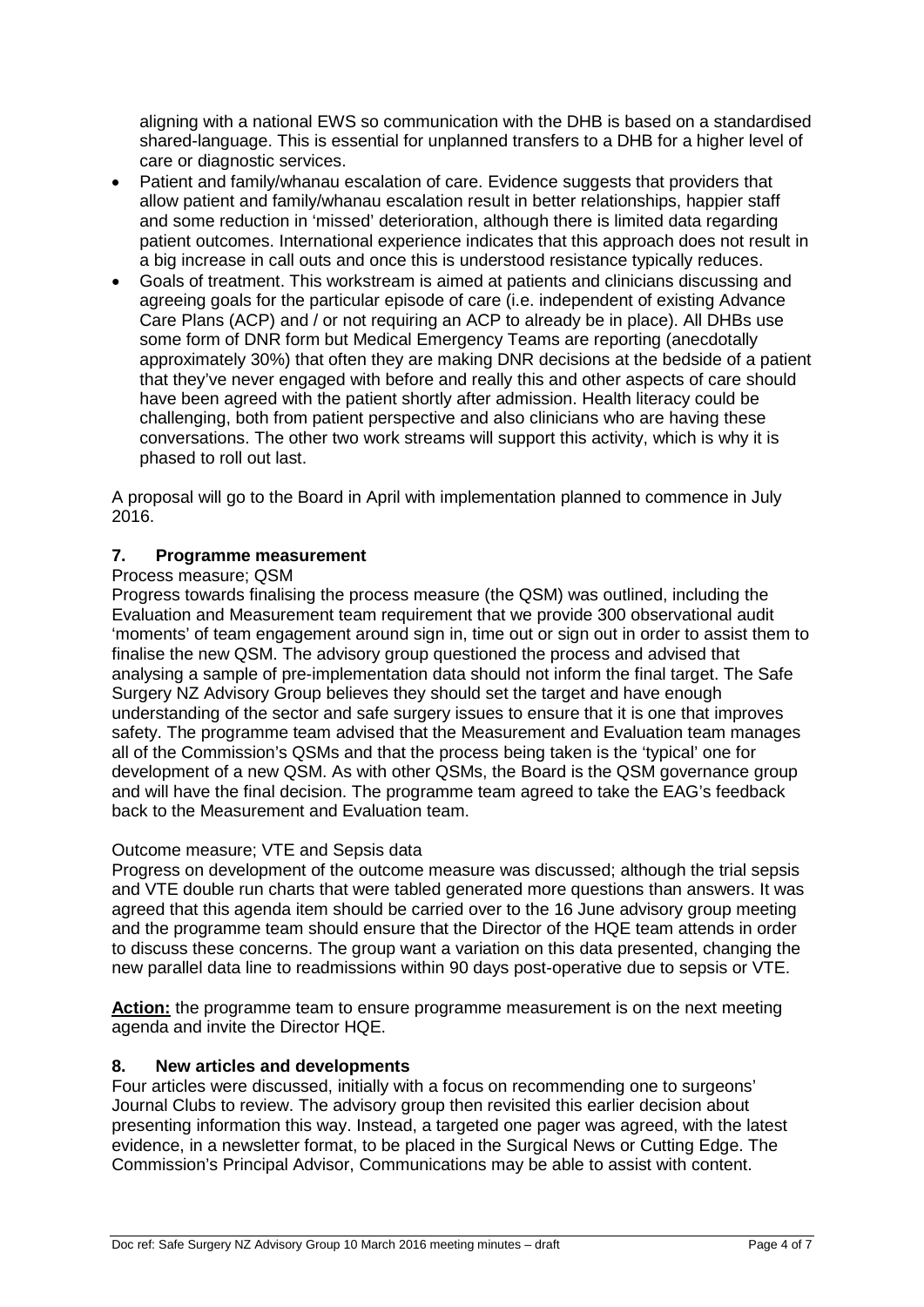aligning with a national EWS so communication with the DHB is based on a standardised shared-language. This is essential for unplanned transfers to a DHB for a higher level of care or diagnostic services.

- Patient and family/whanau escalation of care. Evidence suggests that providers that allow patient and family/whanau escalation result in better relationships, happier staff and some reduction in 'missed' deterioration, although there is limited data regarding patient outcomes. International experience indicates that this approach does not result in a big increase in call outs and once this is understood resistance typically reduces.
- Goals of treatment. This workstream is aimed at patients and clinicians discussing and agreeing goals for the particular episode of care (i.e. independent of existing Advance Care Plans (ACP) and / or not requiring an ACP to already be in place). All DHBs use some form of DNR form but Medical Emergency Teams are reporting (anecdotally approximately 30%) that often they are making DNR decisions at the bedside of a patient that they've never engaged with before and really this and other aspects of care should have been agreed with the patient shortly after admission. Health literacy could be challenging, both from patient perspective and also clinicians who are having these conversations. The other two work streams will support this activity, which is why it is phased to roll out last.

A proposal will go to the Board in April with implementation planned to commence in July 2016.

# **7. Programme measurement**

# Process measure; QSM

Progress towards finalising the process measure (the QSM) was outlined, including the Evaluation and Measurement team requirement that we provide 300 observational audit 'moments' of team engagement around sign in, time out or sign out in order to assist them to finalise the new QSM. The advisory group questioned the process and advised that analysing a sample of pre-implementation data should not inform the final target. The Safe Surgery NZ Advisory Group believes they should set the target and have enough understanding of the sector and safe surgery issues to ensure that it is one that improves safety. The programme team advised that the Measurement and Evaluation team manages all of the Commission's QSMs and that the process being taken is the 'typical' one for development of a new QSM. As with other QSMs, the Board is the QSM governance group and will have the final decision. The programme team agreed to take the EAG's feedback back to the Measurement and Evaluation team.

# Outcome measure; VTE and Sepsis data

Progress on development of the outcome measure was discussed; although the trial sepsis and VTE double run charts that were tabled generated more questions than answers. It was agreed that this agenda item should be carried over to the 16 June advisory group meeting and the programme team should ensure that the Director of the HQE team attends in order to discuss these concerns. The group want a variation on this data presented, changing the new parallel data line to readmissions within 90 days post-operative due to sepsis or VTE.

**Action:** the programme team to ensure programme measurement is on the next meeting agenda and invite the Director HQE.

# **8. New articles and developments**

Four articles were discussed, initially with a focus on recommending one to surgeons' Journal Clubs to review. The advisory group then revisited this earlier decision about presenting information this way. Instead, a targeted one pager was agreed, with the latest evidence, in a newsletter format, to be placed in the Surgical News or Cutting Edge. The Commission's Principal Advisor, Communications may be able to assist with content.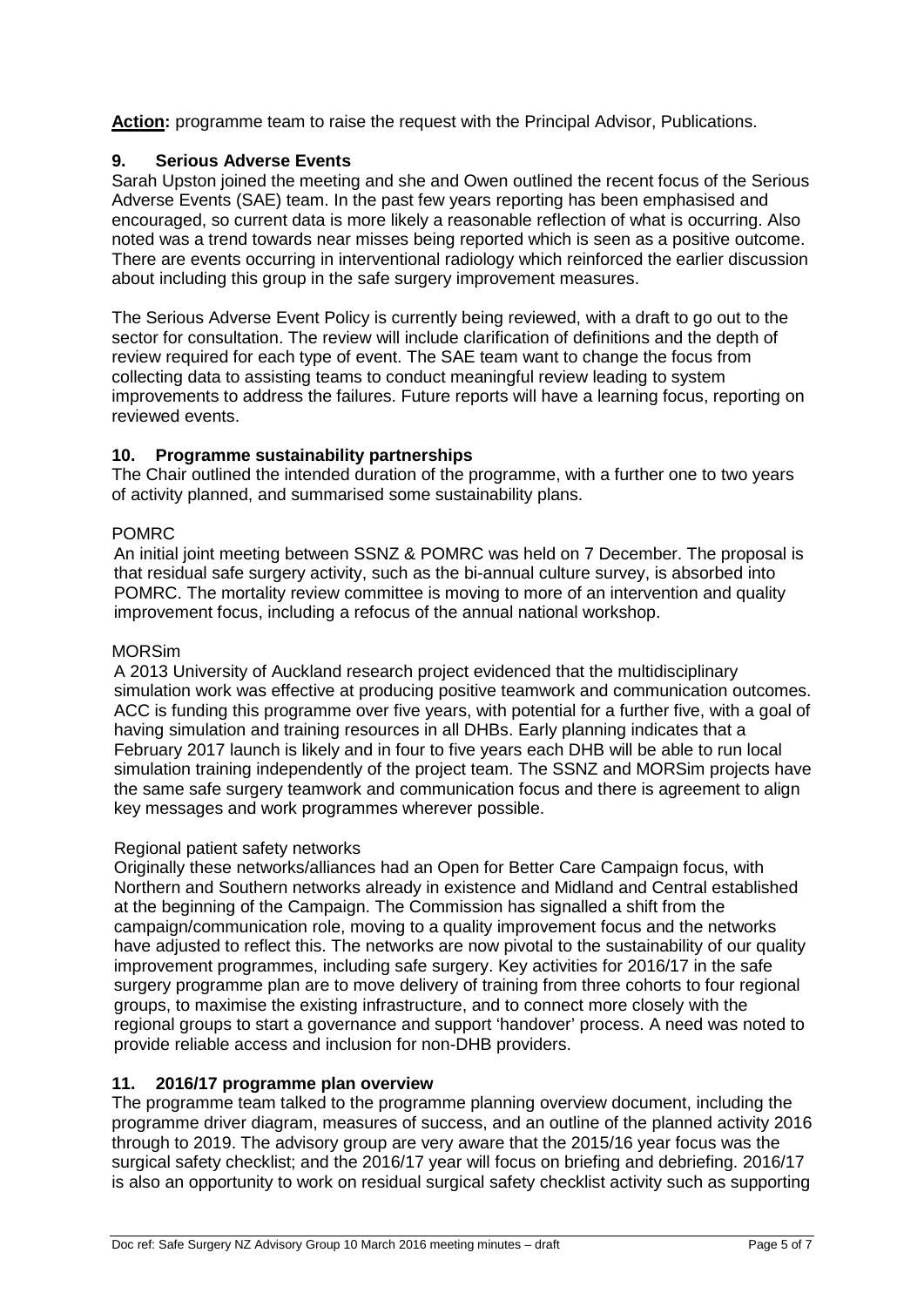**Action:** programme team to raise the request with the Principal Advisor, Publications.

# **9. Serious Adverse Events**

Sarah Upston joined the meeting and she and Owen outlined the recent focus of the Serious Adverse Events (SAE) team. In the past few years reporting has been emphasised and encouraged, so current data is more likely a reasonable reflection of what is occurring. Also noted was a trend towards near misses being reported which is seen as a positive outcome. There are events occurring in interventional radiology which reinforced the earlier discussion about including this group in the safe surgery improvement measures.

The Serious Adverse Event Policy is currently being reviewed, with a draft to go out to the sector for consultation. The review will include clarification of definitions and the depth of review required for each type of event. The SAE team want to change the focus from collecting data to assisting teams to conduct meaningful review leading to system improvements to address the failures. Future reports will have a learning focus, reporting on reviewed events.

# **10. Programme sustainability partnerships**

The Chair outlined the intended duration of the programme, with a further one to two years of activity planned, and summarised some sustainability plans.

# POMRC

An initial joint meeting between SSNZ & POMRC was held on 7 December. The proposal is that residual safe surgery activity, such as the bi-annual culture survey, is absorbed into POMRC. The mortality review committee is moving to more of an intervention and quality improvement focus, including a refocus of the annual national workshop.

# MORSim

A 2013 University of Auckland research project evidenced that the multidisciplinary simulation work was effective at producing positive teamwork and communication outcomes. ACC is funding this programme over five years, with potential for a further five, with a goal of having simulation and training resources in all DHBs. Early planning indicates that a February 2017 launch is likely and in four to five years each DHB will be able to run local simulation training independently of the project team. The SSNZ and MORSim projects have the same safe surgery teamwork and communication focus and there is agreement to align key messages and work programmes wherever possible.

# Regional patient safety networks

Originally these networks/alliances had an Open for Better Care Campaign focus, with Northern and Southern networks already in existence and Midland and Central established at the beginning of the Campaign. The Commission has signalled a shift from the campaign/communication role, moving to a quality improvement focus and the networks have adjusted to reflect this. The networks are now pivotal to the sustainability of our quality improvement programmes, including safe surgery. Key activities for 2016/17 in the safe surgery programme plan are to move delivery of training from three cohorts to four regional groups, to maximise the existing infrastructure, and to connect more closely with the regional groups to start a governance and support 'handover' process. A need was noted to provide reliable access and inclusion for non-DHB providers.

# **11. 2016/17 programme plan overview**

The programme team talked to the programme planning overview document, including the programme driver diagram, measures of success, and an outline of the planned activity 2016 through to 2019. The advisory group are very aware that the 2015/16 year focus was the surgical safety checklist; and the 2016/17 year will focus on briefing and debriefing. 2016/17 is also an opportunity to work on residual surgical safety checklist activity such as supporting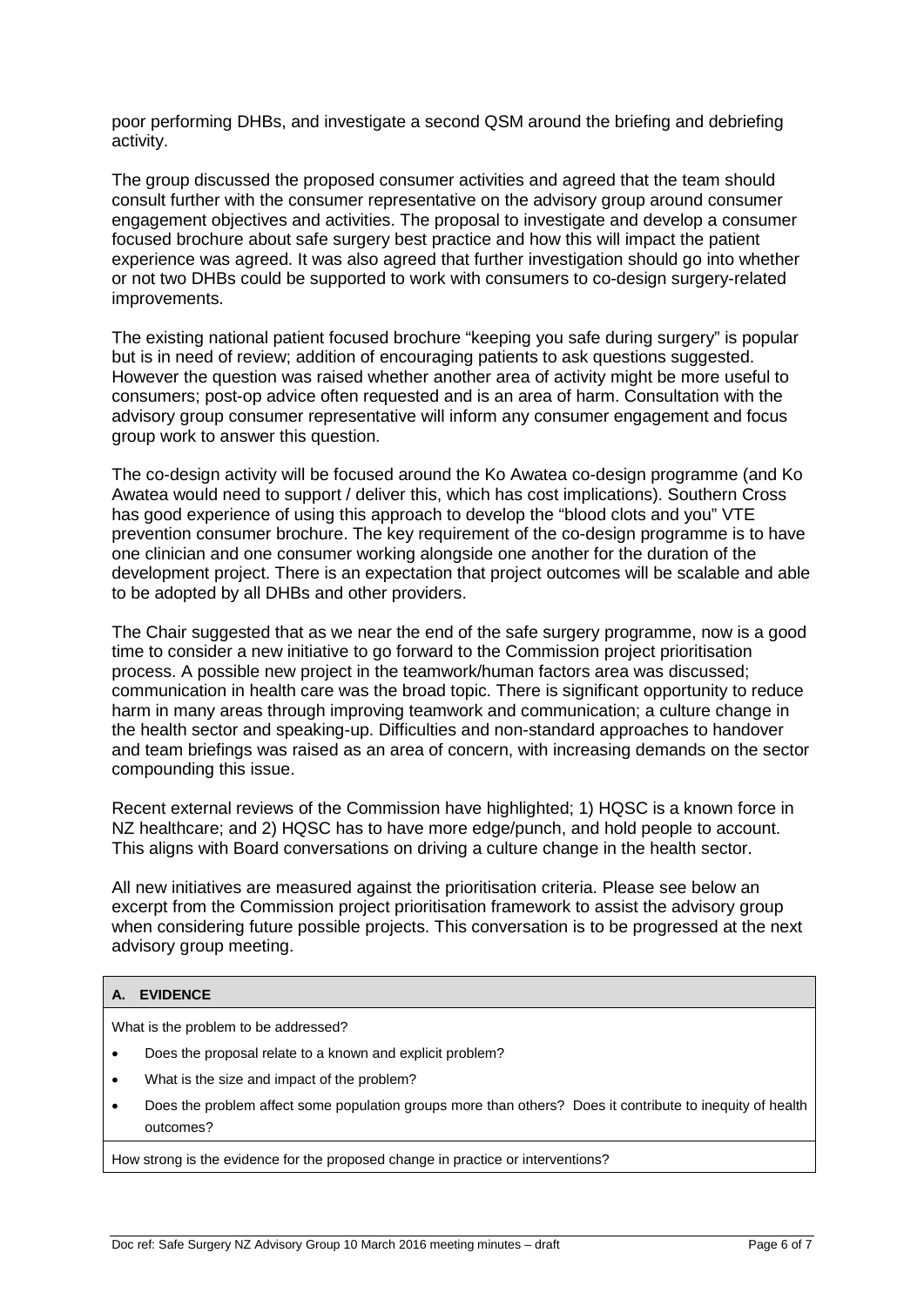poor performing DHBs, and investigate a second QSM around the briefing and debriefing activity.

The group discussed the proposed consumer activities and agreed that the team should consult further with the consumer representative on the advisory group around consumer engagement objectives and activities. The proposal to investigate and develop a consumer focused brochure about safe surgery best practice and how this will impact the patient experience was agreed. It was also agreed that further investigation should go into whether or not two DHBs could be supported to work with consumers to co-design surgery-related improvements.

The existing national patient focused brochure "keeping you safe during surgery" is popular but is in need of review; addition of encouraging patients to ask questions suggested. However the question was raised whether another area of activity might be more useful to consumers; post-op advice often requested and is an area of harm. Consultation with the advisory group consumer representative will inform any consumer engagement and focus group work to answer this question.

The co-design activity will be focused around the Ko Awatea co-design programme (and Ko Awatea would need to support / deliver this, which has cost implications). Southern Cross has good experience of using this approach to develop the "blood clots and you" VTE prevention consumer brochure. The key requirement of the co-design programme is to have one clinician and one consumer working alongside one another for the duration of the development project. There is an expectation that project outcomes will be scalable and able to be adopted by all DHBs and other providers.

The Chair suggested that as we near the end of the safe surgery programme, now is a good time to consider a new initiative to go forward to the Commission project prioritisation process. A possible new project in the teamwork/human factors area was discussed; communication in health care was the broad topic. There is significant opportunity to reduce harm in many areas through improving teamwork and communication; a culture change in the health sector and speaking-up. Difficulties and non-standard approaches to handover and team briefings was raised as an area of concern, with increasing demands on the sector compounding this issue.

Recent external reviews of the Commission have highlighted; 1) HQSC is a known force in NZ healthcare; and 2) HQSC has to have more edge/punch, and hold people to account. This aligns with Board conversations on driving a culture change in the health sector.

All new initiatives are measured against the prioritisation criteria. Please see below an excerpt from the Commission project prioritisation framework to assist the advisory group when considering future possible projects. This conversation is to be progressed at the next advisory group meeting.

## **A. EVIDENCE**

What is the problem to be addressed?

- Does the proposal relate to a known and explicit problem?
- What is the size and impact of the problem?
- Does the problem affect some population groups more than others? Does it contribute to inequity of health outcomes?

How strong is the evidence for the proposed change in practice or interventions?